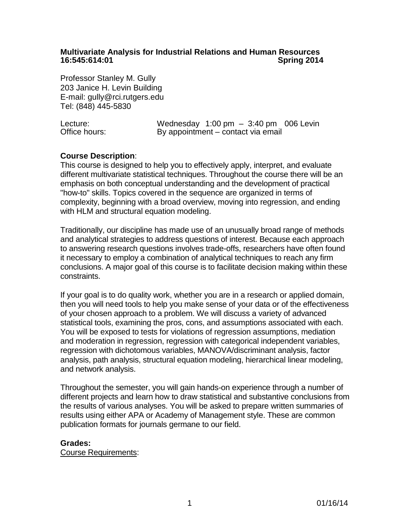#### **Multivariate Analysis for Industrial Relations and Human Resources 16:545:614:01 Spring 2014**

Professor Stanley M. Gully 203 Janice H. Levin Building E-mail: gully@rci.rutgers.edu Tel: (848) 445-5830

| Lecture:      | Wednesday $1:00 \text{ pm} - 3:40 \text{ pm}$ 006 Levin |  |  |
|---------------|---------------------------------------------------------|--|--|
| Office hours: | By appointment – contact via email                      |  |  |

## **Course Description**:

This course is designed to help you to effectively apply, interpret, and evaluate different multivariate statistical techniques. Throughout the course there will be an emphasis on both conceptual understanding and the development of practical "how-to" skills. Topics covered in the sequence are organized in terms of complexity, beginning with a broad overview, moving into regression, and ending with HLM and structural equation modeling.

Traditionally, our discipline has made use of an unusually broad range of methods and analytical strategies to address questions of interest. Because each approach to answering research questions involves trade-offs, researchers have often found it necessary to employ a combination of analytical techniques to reach any firm conclusions. A major goal of this course is to facilitate decision making within these constraints.

If your goal is to do quality work, whether you are in a research or applied domain, then you will need tools to help you make sense of your data or of the effectiveness of your chosen approach to a problem. We will discuss a variety of advanced statistical tools, examining the pros, cons, and assumptions associated with each. You will be exposed to tests for violations of regression assumptions, mediation and moderation in regression, regression with categorical independent variables, regression with dichotomous variables, MANOVA/discriminant analysis, factor analysis, path analysis, structural equation modeling, hierarchical linear modeling, and network analysis.

Throughout the semester, you will gain hands-on experience through a number of different projects and learn how to draw statistical and substantive conclusions from the results of various analyses. You will be asked to prepare written summaries of results using either APA or Academy of Management style. These are common publication formats for journals germane to our field.

#### **Grades:**

Course Requirements: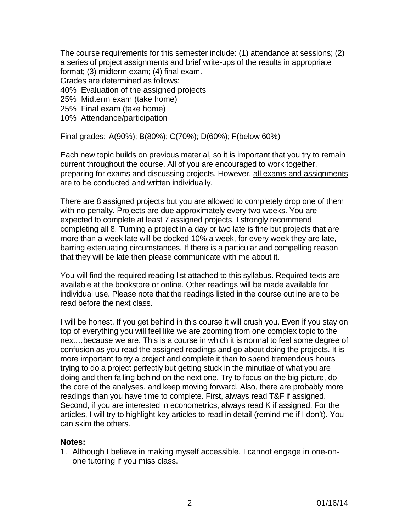The course requirements for this semester include: (1) attendance at sessions; (2) a series of project assignments and brief write-ups of the results in appropriate format; (3) midterm exam; (4) final exam.

Grades are determined as follows:

40% Evaluation of the assigned projects

25% Midterm exam (take home)

25% Final exam (take home)

10% Attendance/participation

Final grades: A(90%); B(80%); C(70%); D(60%); F(below 60%)

Each new topic builds on previous material, so it is important that you try to remain current throughout the course. All of you are encouraged to work together, preparing for exams and discussing projects. However, all exams and assignments are to be conducted and written individually.

There are 8 assigned projects but you are allowed to completely drop one of them with no penalty. Projects are due approximately every two weeks. You are expected to complete at least 7 assigned projects. I strongly recommend completing all 8. Turning a project in a day or two late is fine but projects that are more than a week late will be docked 10% a week, for every week they are late, barring extenuating circumstances. If there is a particular and compelling reason that they will be late then please communicate with me about it.

You will find the required reading list attached to this syllabus. Required texts are available at the bookstore or online. Other readings will be made available for individual use. Please note that the readings listed in the course outline are to be read before the next class.

I will be honest. If you get behind in this course it will crush you. Even if you stay on top of everything you will feel like we are zooming from one complex topic to the next…because we are. This is a course in which it is normal to feel some degree of confusion as you read the assigned readings and go about doing the projects. It is more important to try a project and complete it than to spend tremendous hours trying to do a project perfectly but getting stuck in the minutiae of what you are doing and then falling behind on the next one. Try to focus on the big picture, do the core of the analyses, and keep moving forward. Also, there are probably more readings than you have time to complete. First, always read T&F if assigned. Second, if you are interested in econometrics, always read K if assigned. For the articles, I will try to highlight key articles to read in detail (remind me if I don't). You can skim the others.

## **Notes:**

1. Although I believe in making myself accessible, I cannot engage in one-onone tutoring if you miss class.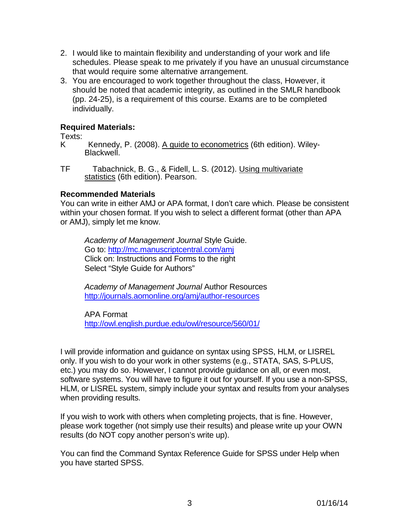- 2. I would like to maintain flexibility and understanding of your work and life schedules. Please speak to me privately if you have an unusual circumstance that would require some alternative arrangement.
- 3. You are encouraged to work together throughout the class, However, it should be noted that academic integrity, as outlined in the SMLR handbook (pp. 24-25), is a requirement of this course. Exams are to be completed individually.

## **Required Materials:**

Texts:<br>K

- Kennedy, P. (2008). A guide to econometrics (6th edition). Wiley-<br>Blackwell.
- TF Tabachnick, B. G., & Fidell, L. S. (2012). Using multivariate statistics (6th edition). Pearson.

# **Recommended Materials**

You can write in either AMJ or APA format, I don't care which. Please be consistent within your chosen format. If you wish to select a different format (other than APA or AMJ), simply let me know.

*Academy of Management Journal* Style Guide. Go to:<http://mc.manuscriptcentral.com/amj> Click on: Instructions and Forms to the right Select "Style Guide for Authors"

*Academy of Management Journal* Author Resources <http://journals.aomonline.org/amj/author-resources>

APA Format

<http://owl.english.purdue.edu/owl/resource/560/01/>

I will provide information and guidance on syntax using SPSS, HLM, or LISREL only. If you wish to do your work in other systems (e.g., STATA, SAS, S-PLUS, etc.) you may do so. However, I cannot provide guidance on all, or even most, software systems. You will have to figure it out for yourself. If you use a non-SPSS, HLM, or LISREL system, simply include your syntax and results from your analyses when providing results.

If you wish to work with others when completing projects, that is fine. However, please work together (not simply use their results) and please write up your OWN results (do NOT copy another person's write up).

You can find the Command Syntax Reference Guide for SPSS under Help when you have started SPSS.